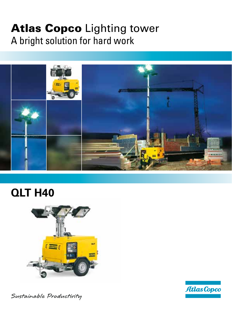# Atlas Copco Lighting tower A bright solution for hard work



## **QLT H40**





Sustainable Productivity